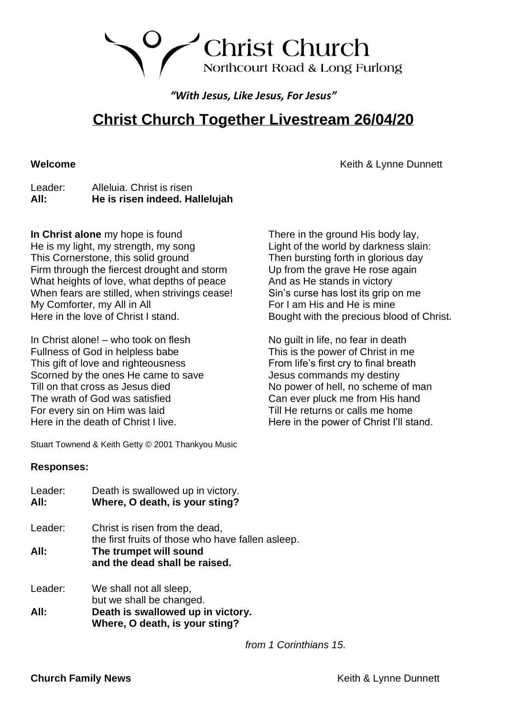Northcourt Road & Long Furlong

**Christ Church** 

*"With Jesus, Like Jesus, For Jesus"*

# **Christ Church Together Livestream 26/04/20**

**Welcome Welcome Keith & Lynne Dunnett** 

There in the ground His body lay, Light of the world by darkness slain: Then bursting forth in glorious day Up from the grave He rose again

Sin's curse has lost its grip on me For I am His and He is mine

No guilt in life, no fear in death This is the power of Christ in me From life's first cry to final breath Jesus commands my destiny

No power of hell, no scheme of man Can ever pluck me from His hand Till He returns or calls me home Here in the power of Christ I'll stand.

Bought with the precious blood of Christ.

And as He stands in victory

Leader: Alleluia. Christ is risen **All: He is risen indeed. Hallelujah**

**In Christ alone** my hope is found He is my light, my strength, my song This Cornerstone, this solid ground Firm through the fiercest drought and storm What heights of love, what depths of peace When fears are stilled, when strivings cease! My Comforter, my All in All Here in the love of Christ I stand.

In Christ alone! – who took on flesh Fullness of God in helpless babe This gift of love and righteousness Scorned by the ones He came to save Till on that cross as Jesus died The wrath of God was satisfied For every sin on Him was laid Here in the death of Christ I live.

Stuart Townend & Keith Getty © 2001 Thankyou Music

### **Responses:**

Leader: Death is swallowed up in victory. **All: Where, O death, is your sting?** Leader: Christ is risen from the dead, the first fruits of those who have fallen asleep. **All: The trumpet will sound and the dead shall be raised.** Leader: We shall not all sleep, but we shall be changed. **All: Death is swallowed up in victory.**

**Where, O death, is your sting?**

*from 1 Corinthians 15.*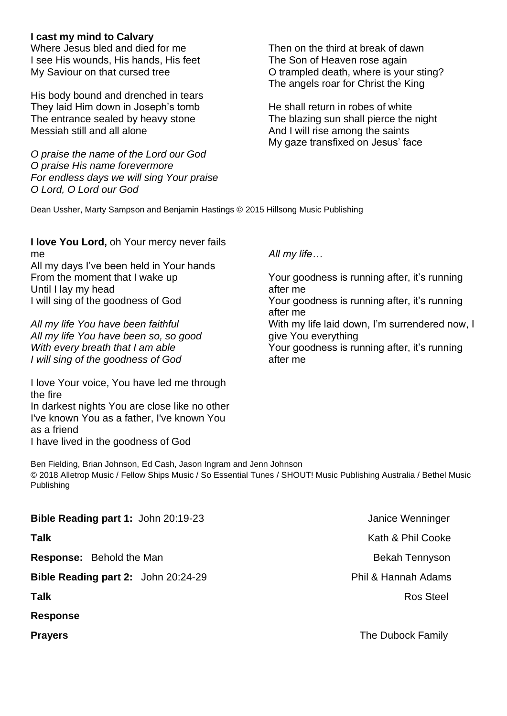# **I cast my mind to Calvary**

Where Jesus bled and died for me I see His wounds, His hands, His feet My Saviour on that cursed tree

His body bound and drenched in tears They laid Him down in Joseph's tomb The entrance sealed by heavy stone Messiah still and all alone

*O praise the name of the Lord our God O praise His name forevermore For endless days we will sing Your praise O Lord, O Lord our God*

Then on the third at break of dawn The Son of Heaven rose again O trampled death, where is your sting? The angels roar for Christ the King

He shall return in robes of white The blazing sun shall pierce the night And I will rise among the saints My gaze transfixed on Jesus' face

Dean Ussher, Marty Sampson and Benjamin Hastings © 2015 Hillsong Music Publishing

**I love You Lord,** oh Your mercy never fails me All my days I've been held in Your hands From the moment that I wake up Until I lay my head I will sing of the goodness of God

*All my life You have been faithful All my life You have been so, so good With every breath that I am able I will sing of the goodness of God*

I love Your voice, You have led me through the fire In darkest nights You are close like no other I've known You as a father, I've known You as a friend I have lived in the goodness of God

*All my life…*

Your goodness is running after, it's running after me Your goodness is running after, it's running after me With my life laid down, I'm surrendered now, I give You everything Your goodness is running after, it's running after me

Ben Fielding, Brian Johnson, Ed Cash, Jason Ingram and Jenn Johnson © 2018 Alletrop Music / Fellow Ships Music / So Essential Tunes / SHOUT! Music Publishing Australia / Bethel Music Publishing

| Bible Reading part 1: John 20:19-23 | Janice Wenninger      |
|-------------------------------------|-----------------------|
| Talk                                | Kath & Phil Cooke     |
| Response: Behold the Man            | <b>Bekah Tennyson</b> |
| Bible Reading part 2: John 20:24-29 | Phil & Hannah Adams   |
| Talk                                | <b>Ros Steel</b>      |
| <b>Response</b>                     |                       |

**Prayers Prayers The Dubock Family**